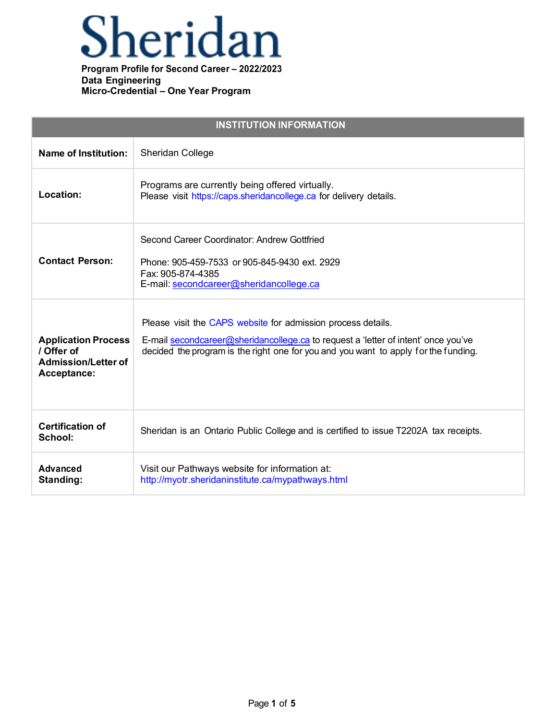## Sheridan

| <b>INSTITUTION INFORMATION</b>                                                        |                                                                                                                                                                                                                                           |  |
|---------------------------------------------------------------------------------------|-------------------------------------------------------------------------------------------------------------------------------------------------------------------------------------------------------------------------------------------|--|
| <b>Name of Institution:</b>                                                           | Sheridan College                                                                                                                                                                                                                          |  |
| Location:                                                                             | Programs are currently being offered virtually.<br>Please visit https://caps.sheridancollege.ca for delivery details.                                                                                                                     |  |
| <b>Contact Person:</b>                                                                | Second Career Coordinator: Andrew Gottfried<br>Phone: 905-459-7533 or 905-845-9430 ext. 2929<br>Fax: 905-874-4385<br>E-mail: secondcareer@sheridancollege.ca                                                                              |  |
| <b>Application Process</b><br>/ Offer of<br><b>Admission/Letter of</b><br>Acceptance: | Please visit the CAPS website for admission process details.<br>E-mail secondcareer@sheridancollege.ca to request a 'letter of intent' once you've<br>decided the program is the right one for you and you want to apply for the funding. |  |
| <b>Certification of</b><br>School:                                                    | Sheridan is an Ontario Public College and is certified to issue T2202A tax receipts.                                                                                                                                                      |  |
| <b>Advanced</b><br>Standing:                                                          | Visit our Pathways website for information at:<br>http://myotr.sheridaninstitute.ca/mypathways.html                                                                                                                                       |  |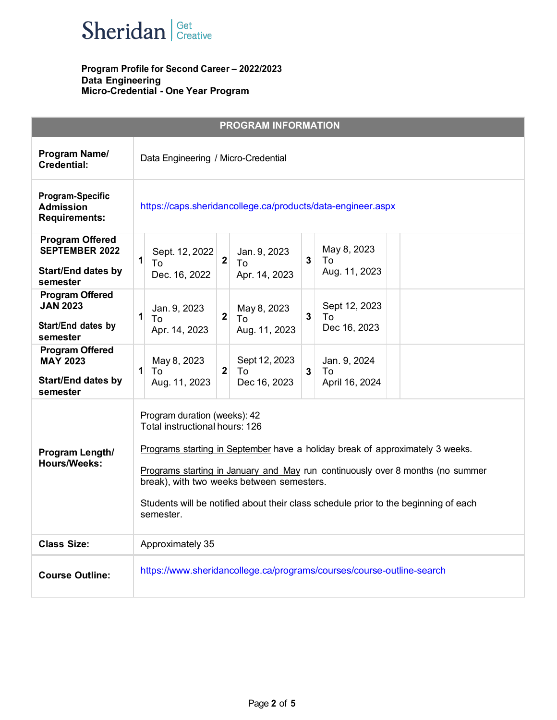

|                                                                                          | <b>PROGRAM INFORMATION</b>                                                                                                                                                                                                                                                                                                                                                         |
|------------------------------------------------------------------------------------------|------------------------------------------------------------------------------------------------------------------------------------------------------------------------------------------------------------------------------------------------------------------------------------------------------------------------------------------------------------------------------------|
| Program Name/<br><b>Credential:</b>                                                      | Data Engineering / Micro-Credential                                                                                                                                                                                                                                                                                                                                                |
| <b>Program-Specific</b><br><b>Admission</b><br><b>Requirements:</b>                      | https://caps.sheridancollege.ca/products/data-engineer.aspx                                                                                                                                                                                                                                                                                                                        |
| <b>Program Offered</b><br><b>SEPTEMBER 2022</b><br><b>Start/End dates by</b><br>semester | May 8, 2023<br>Sept. 12, 2022<br>Jan. 9, 2023<br>$\overline{2}$<br>$\mathbf{1}$<br>$\mathbf{3}$<br>To<br>To<br>To<br>Aug. 11, 2023<br>Dec. 16, 2022<br>Apr. 14, 2023                                                                                                                                                                                                               |
| <b>Program Offered</b><br><b>JAN 2023</b><br>Start/End dates by<br>semester              | Sept 12, 2023<br>May 8, 2023<br>Jan. 9, 2023<br>$\mathbf{2}$<br>$\mathbf{1}$<br>3 <sup>1</sup><br>To<br>To<br>To<br>Dec 16, 2023<br>Apr. 14, 2023<br>Aug. 11, 2023                                                                                                                                                                                                                 |
| <b>Program Offered</b><br><b>MAY 2023</b><br><b>Start/End dates by</b><br>semester       | Sept 12, 2023<br>May 8, 2023<br>Jan. 9, 2024<br>$\mathbf{1}$<br>$\mathbf 2$<br>To<br>$\mathbf{3}$<br>To<br>To<br>Dec 16, 2023<br>Aug. 11, 2023<br>April 16, 2024                                                                                                                                                                                                                   |
| Program Length/<br><b>Hours/Weeks:</b>                                                   | Program duration (weeks): 42<br>Total instructional hours: 126<br>Programs starting in September have a holiday break of approximately 3 weeks.<br>Programs starting in January and May run continuously over 8 months (no summer<br>break), with two weeks between semesters.<br>Students will be notified about their class schedule prior to the beginning of each<br>semester. |
| <b>Class Size:</b>                                                                       | Approximately 35                                                                                                                                                                                                                                                                                                                                                                   |
| <b>Course Outline:</b>                                                                   | https://www.sheridancollege.ca/programs/courses/course-outline-search                                                                                                                                                                                                                                                                                                              |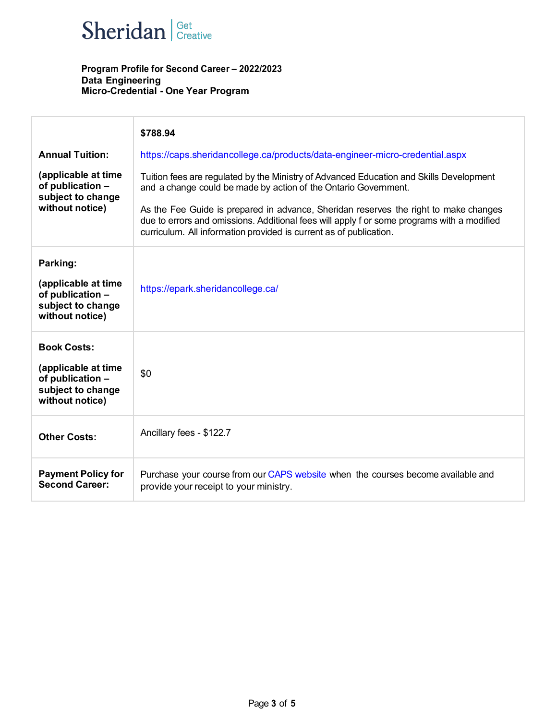

|                                                                                                       | \$788.94                                                                                                                                                                                                                                                 |
|-------------------------------------------------------------------------------------------------------|----------------------------------------------------------------------------------------------------------------------------------------------------------------------------------------------------------------------------------------------------------|
| <b>Annual Tuition:</b>                                                                                | https://caps.sheridancollege.ca/products/data-engineer-micro-credential.aspx                                                                                                                                                                             |
| (applicable at time<br>of publication -<br>subject to change<br>without notice)                       | Tuition fees are regulated by the Ministry of Advanced Education and Skills Development<br>and a change could be made by action of the Ontario Government.                                                                                               |
|                                                                                                       | As the Fee Guide is prepared in advance, Sheridan reserves the right to make changes<br>due to errors and omissions. Additional fees will apply f or some programs with a modified<br>curriculum. All information provided is current as of publication. |
| Parking:                                                                                              |                                                                                                                                                                                                                                                          |
| (applicable at time<br>of publication -<br>subject to change<br>without notice)                       | https://epark.sheridancollege.ca/                                                                                                                                                                                                                        |
| <b>Book Costs:</b><br>(applicable at time<br>of publication -<br>subject to change<br>without notice) | \$0                                                                                                                                                                                                                                                      |
| <b>Other Costs:</b>                                                                                   | Ancillary fees - \$122.7                                                                                                                                                                                                                                 |
| <b>Payment Policy for</b><br><b>Second Career:</b>                                                    | Purchase your course from our CAPS website when the courses become available and<br>provide your receipt to your ministry.                                                                                                                               |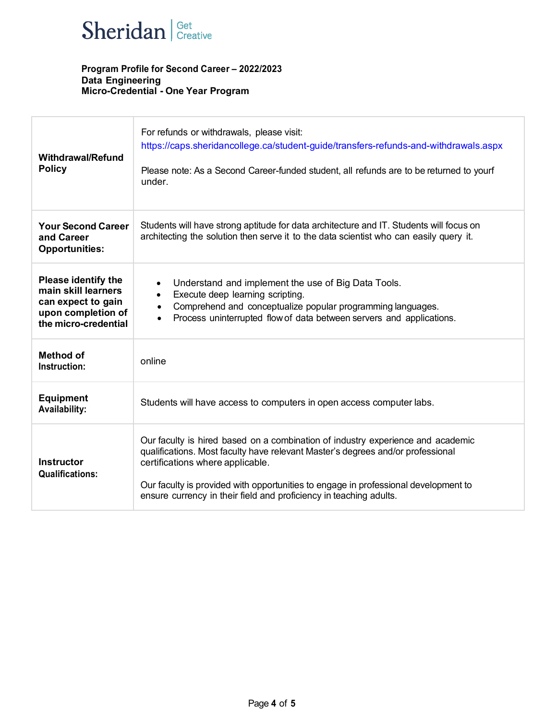

| <b>Withdrawal/Refund</b><br><b>Policy</b>                                                                             | For refunds or withdrawals, please visit:<br>https://caps.sheridancollege.ca/student-guide/transfers-refunds-and-withdrawals.aspx<br>Please note: As a Second Career-funded student, all refunds are to be returned to yourf<br>under.                                                                                                                              |
|-----------------------------------------------------------------------------------------------------------------------|---------------------------------------------------------------------------------------------------------------------------------------------------------------------------------------------------------------------------------------------------------------------------------------------------------------------------------------------------------------------|
| <b>Your Second Career</b><br>and Career<br><b>Opportunities:</b>                                                      | Students will have strong aptitude for data architecture and IT. Students will focus on<br>architecting the solution then serve it to the data scientist who can easily query it.                                                                                                                                                                                   |
| <b>Please identify the</b><br>main skill learners<br>can expect to gain<br>upon completion of<br>the micro-credential | Understand and implement the use of Big Data Tools.<br>$\bullet$<br>Execute deep learning scripting.<br>$\bullet$<br>Comprehend and conceptualize popular programming languages.<br>$\bullet$<br>Process uninterrupted flow of data between servers and applications.<br>$\bullet$                                                                                  |
| <b>Method of</b><br>Instruction:                                                                                      | online                                                                                                                                                                                                                                                                                                                                                              |
| <b>Equipment</b><br><b>Availability:</b>                                                                              | Students will have access to computers in open access computer labs.                                                                                                                                                                                                                                                                                                |
| <b>Instructor</b><br><b>Qualifications:</b>                                                                           | Our faculty is hired based on a combination of industry experience and academic<br>qualifications. Most faculty have relevant Master's degrees and/or professional<br>certifications where applicable.<br>Our faculty is provided with opportunities to engage in professional development to<br>ensure currency in their field and proficiency in teaching adults. |